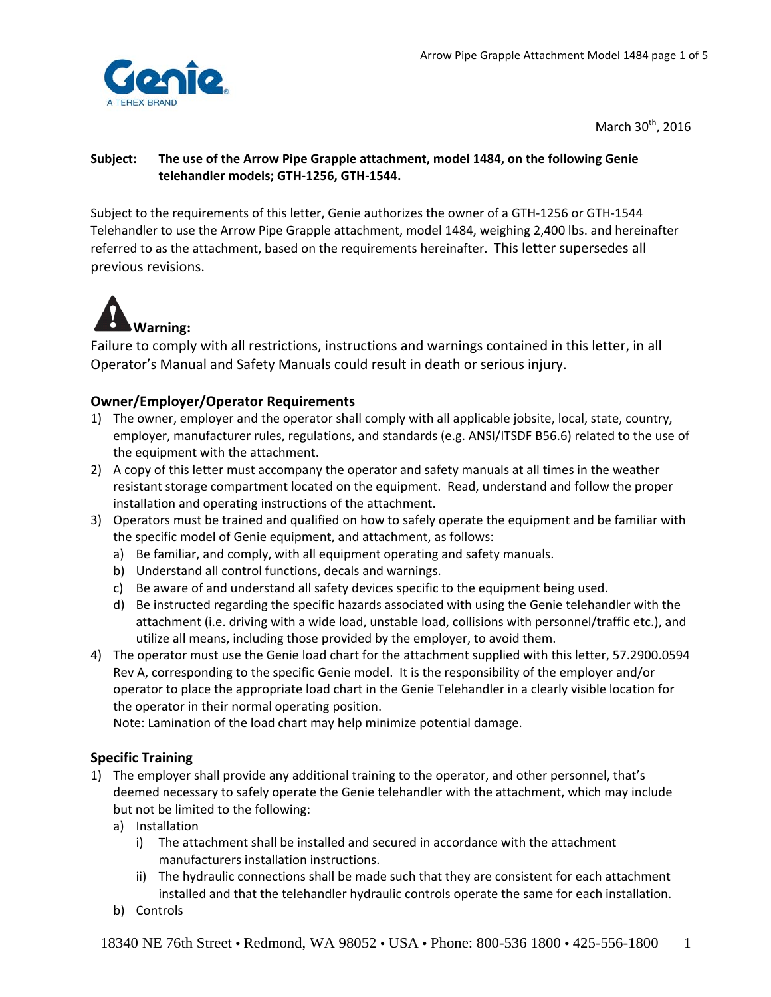

March  $30<sup>th</sup>$ , 2016

# **Subject:** **The use of the Arrow Pipe Grapple attachment, model 1484, on the following Genie telehandler models; GTH‐1256, GTH‐1544.**

Subject to the requirements of this letter, Genie authorizes the owner of a GTH‐1256 or GTH‐1544 Telehandler to use the Arrow Pipe Grapple attachment, model 1484, weighing 2,400 lbs. and hereinafter referred to as the attachment, based on the requirements hereinafter. This letter supersedes all previous revisions.



Failure to comply with all restrictions, instructions and warnings contained in this letter, in all Operator's Manual and Safety Manuals could result in death or serious injury.

# **Owner/Employer/Operator Requirements**

- 1) The owner, employer and the operator shall comply with all applicable jobsite, local, state, country, employer, manufacturer rules, regulations, and standards (e.g. ANSI/ITSDF B56.6) related to the use of the equipment with the attachment.
- 2) A copy of this letter must accompany the operator and safety manuals at all times in the weather resistant storage compartment located on the equipment. Read, understand and follow the proper installation and operating instructions of the attachment.
- 3) Operators must be trained and qualified on how to safely operate the equipment and be familiar with the specific model of Genie equipment, and attachment, as follows:
	- a) Be familiar, and comply, with all equipment operating and safety manuals.
	- b) Understand all control functions, decals and warnings.
	- c) Be aware of and understand all safety devices specific to the equipment being used.
	- d) Be instructed regarding the specific hazards associated with using the Genie telehandler with the attachment (i.e. driving with a wide load, unstable load, collisions with personnel/traffic etc.), and utilize all means, including those provided by the employer, to avoid them.
- 4) The operator must use the Genie load chart for the attachment supplied with this letter, 57.2900.0594 Rev A, corresponding to the specific Genie model. It is the responsibility of the employer and/or operator to place the appropriate load chart in the Genie Telehandler in a clearly visible location for the operator in their normal operating position.

Note: Lamination of the load chart may help minimize potential damage.

## **Specific Training**

- 1) The employer shall provide any additional training to the operator, and other personnel, that's deemed necessary to safely operate the Genie telehandler with the attachment, which may include but not be limited to the following:
	- a) Installation
		- i) The attachment shall be installed and secured in accordance with the attachment manufacturers installation instructions.
		- ii) The hydraulic connections shall be made such that they are consistent for each attachment installed and that the telehandler hydraulic controls operate the same for each installation.
	- b) Controls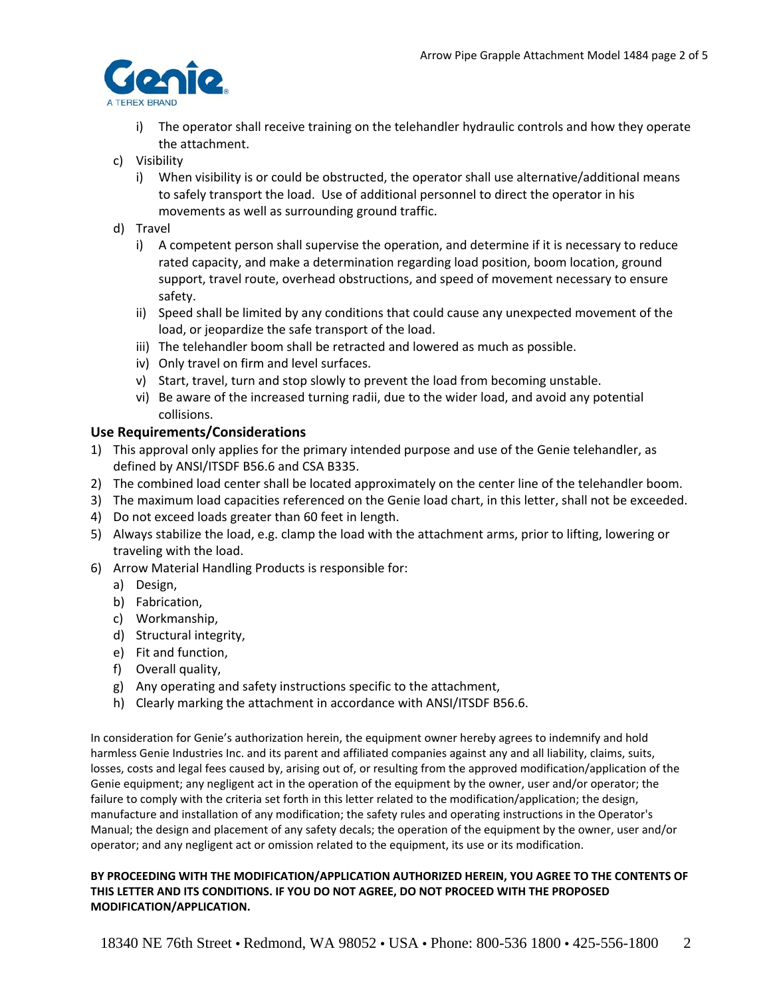

- i) The operator shall receive training on the telehandler hydraulic controls and how they operate the attachment.
- c) Visibility
	- i) When visibility is or could be obstructed, the operator shall use alternative/additional means to safely transport the load. Use of additional personnel to direct the operator in his movements as well as surrounding ground traffic.
- d) Travel
	- i) A competent person shall supervise the operation, and determine if it is necessary to reduce rated capacity, and make a determination regarding load position, boom location, ground support, travel route, overhead obstructions, and speed of movement necessary to ensure safety.
	- ii) Speed shall be limited by any conditions that could cause any unexpected movement of the load, or jeopardize the safe transport of the load.
	- iii) The telehandler boom shall be retracted and lowered as much as possible.
	- iv) Only travel on firm and level surfaces.
	- v) Start, travel, turn and stop slowly to prevent the load from becoming unstable.
	- vi) Be aware of the increased turning radii, due to the wider load, and avoid any potential collisions.

## **Use Requirements/Considerations**

- 1) This approval only applies for the primary intended purpose and use of the Genie telehandler, as defined by ANSI/ITSDF B56.6 and CSA B335.
- 2) The combined load center shall be located approximately on the center line of the telehandler boom.
- 3) The maximum load capacities referenced on the Genie load chart, in this letter, shall not be exceeded.
- 4) Do not exceed loads greater than 60 feet in length.
- 5) Always stabilize the load, e.g. clamp the load with the attachment arms, prior to lifting, lowering or traveling with the load.
- 6) Arrow Material Handling Products is responsible for:
	- a) Design,
	- b) Fabrication,
	- c) Workmanship,
	- d) Structural integrity,
	- e) Fit and function,
	- f) Overall quality,
	- g) Any operating and safety instructions specific to the attachment,
	- h) Clearly marking the attachment in accordance with ANSI/ITSDF B56.6.

In consideration for Genie's authorization herein, the equipment owner hereby agrees to indemnify and hold harmless Genie Industries Inc. and its parent and affiliated companies against any and all liability, claims, suits, losses, costs and legal fees caused by, arising out of, or resulting from the approved modification/application of the Genie equipment; any negligent act in the operation of the equipment by the owner, user and/or operator; the failure to comply with the criteria set forth in this letter related to the modification/application; the design, manufacture and installation of any modification; the safety rules and operating instructions in the Operator's Manual; the design and placement of any safety decals; the operation of the equipment by the owner, user and/or operator; and any negligent act or omission related to the equipment, its use or its modification.

#### **BY PROCEEDING WITH THE MODIFICATION/APPLICATION AUTHORIZED HEREIN, YOU AGREE TO THE CONTENTS OF THIS LETTER AND ITS CONDITIONS. IF YOU DO NOT AGREE, DO NOT PROCEED WITH THE PROPOSED MODIFICATION/APPLICATION.**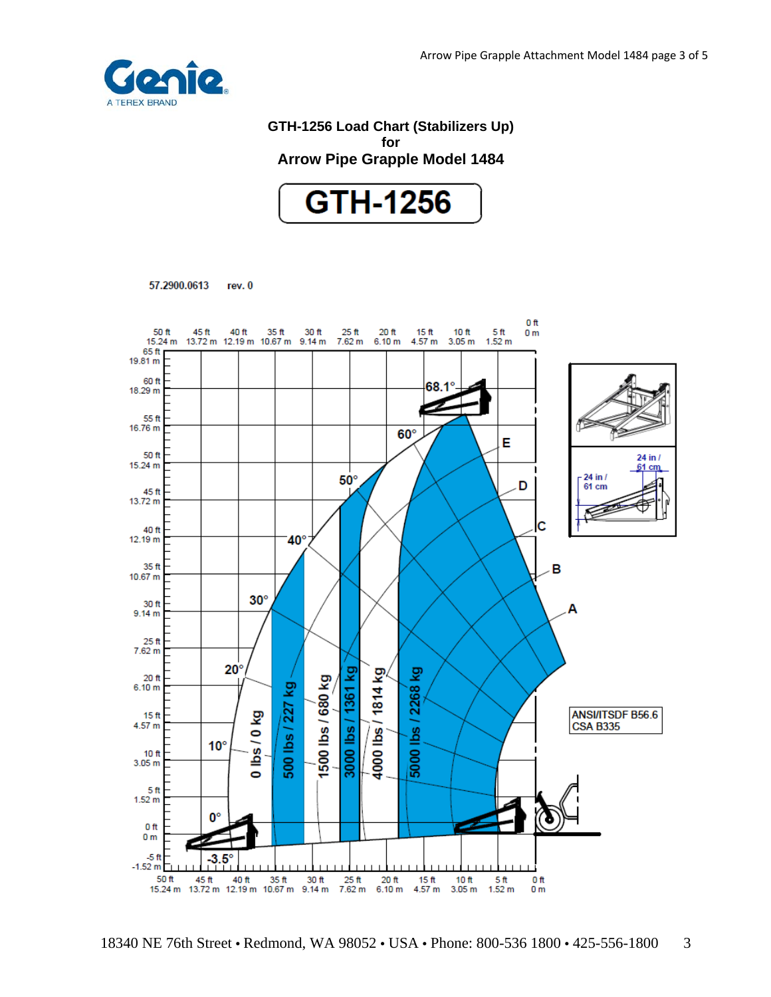

# **GTH-1256 Load Chart (Stabilizers Up) for Arrow Pipe Grapple Model 1484**



57.2900.0613 rev. 0

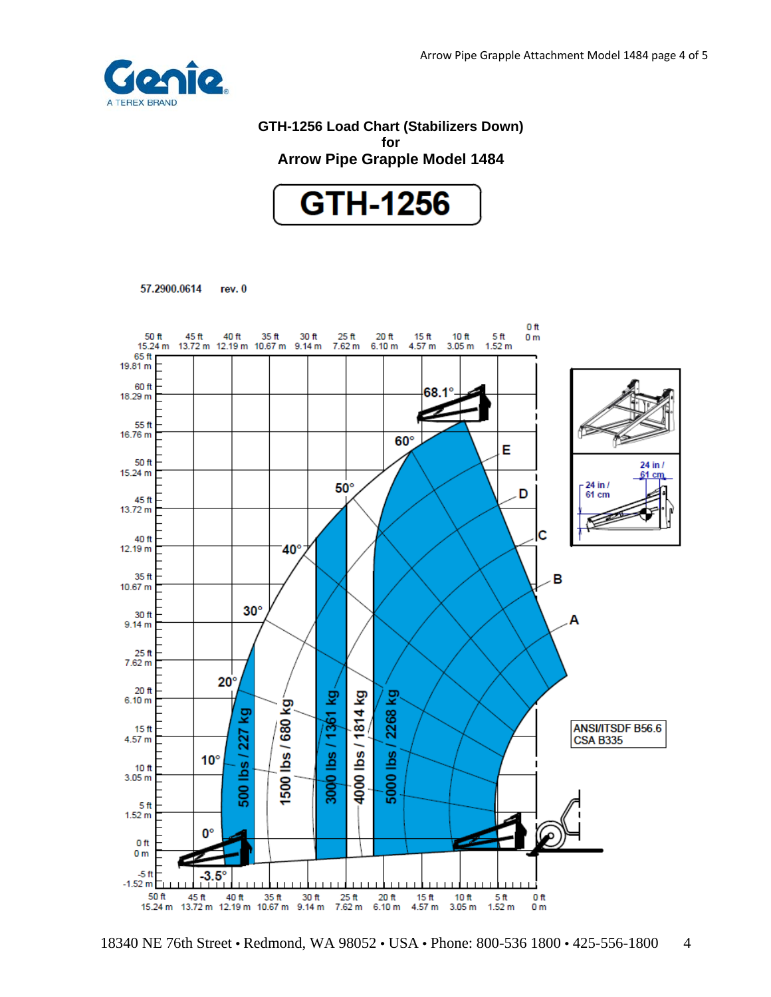

# **GTH-1256 Load Chart (Stabilizers Down) for Arrow Pipe Grapple Model 1484**



57.2900.0614 rev. 0



<sup>18340</sup> NE 76th Street • Redmond, WA 98052 • USA • Phone: 800-536 1800 • 425-556-1800 4